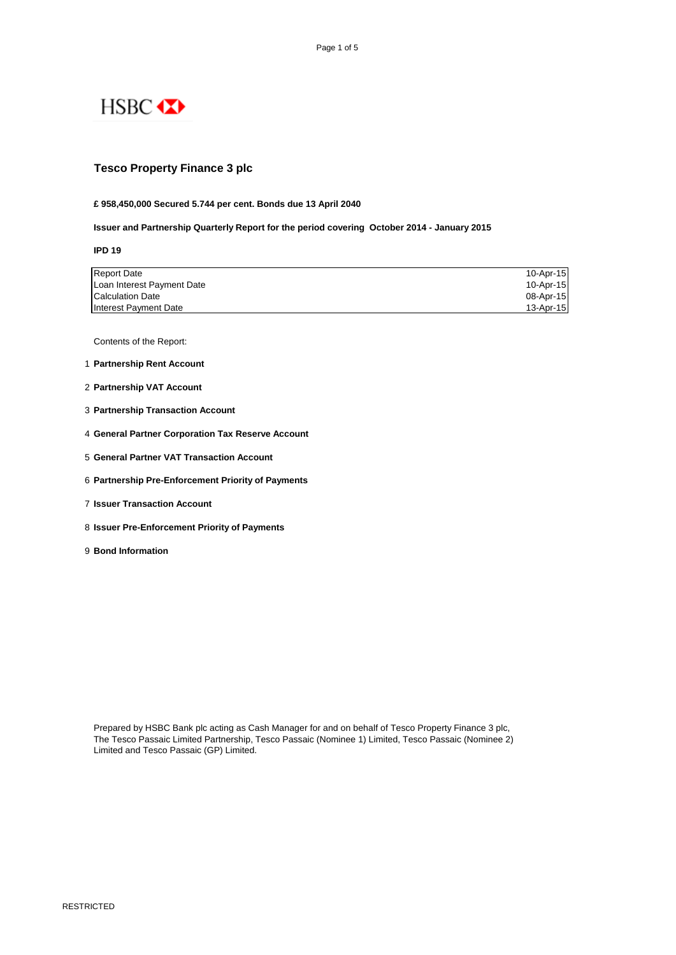

## **Tesco Property Finance 3 plc**

#### **£ 958,450,000 Secured 5.744 per cent. Bonds due 13 April 2040**

#### **Issuer and Partnership Quarterly Report for the period covering October 2014 - January 2015**

**IPD 19**

| <b>Report Date</b>         | 10-Apr-15 |
|----------------------------|-----------|
| Loan Interest Payment Date | 10-Apr-15 |
| <b>Calculation Date</b>    | 08-Apr-15 |
| Interest Payment Date      | 13-Apr-15 |

Contents of the Report:

- 1 **Partnership Rent Account**
- 2 **Partnership VAT Account**
- 3 **Partnership Transaction Account**
- 4 **General Partner Corporation Tax Reserve Account**
- 5 **General Partner VAT Transaction Account**
- 6 **Partnership Pre-Enforcement Priority of Payments**
- 7 **Issuer Transaction Account**
- 8 **Issuer Pre-Enforcement Priority of Payments**
- 9 **Bond Information**

Prepared by HSBC Bank plc acting as Cash Manager for and on behalf of Tesco Property Finance 3 plc, The Tesco Passaic Limited Partnership, Tesco Passaic (Nominee 1) Limited, Tesco Passaic (Nominee 2) Limited and Tesco Passaic (GP) Limited.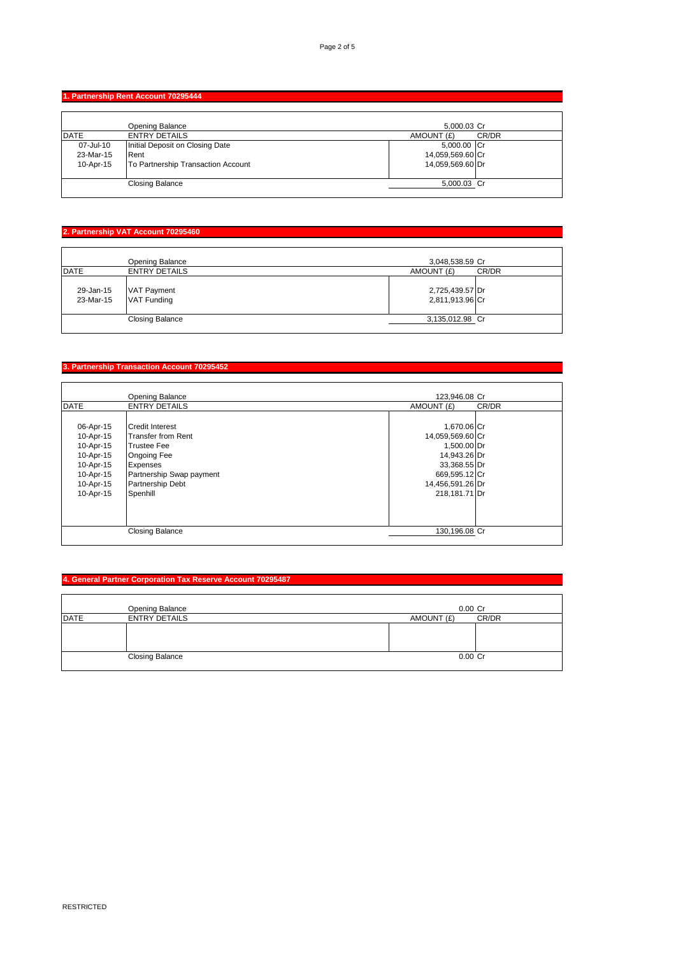## **1. Partnership Rent Account 70295444**

|             | Opening Balance                    | 5.000.03 Cr      |       |
|-------------|------------------------------------|------------------|-------|
| <b>DATE</b> | <b>ENTRY DETAILS</b>               | AMOUNT (£)       | CR/DR |
| 07-Jul-10   | Initial Deposit on Closing Date    | 5,000.00 Cr      |       |
| 23-Mar-15   | Rent                               | 14,059,569.60 Cr |       |
| 10-Apr-15   | To Partnership Transaction Account | 14,059,569.60 Dr |       |
|             | <b>Closing Balance</b>             | 5,000.03 Cr      |       |

# **2. Partnership VAT Account 70295460**

|                        | Opening Balance                   | 3,048,538.59 Cr                    |       |
|------------------------|-----------------------------------|------------------------------------|-------|
| <b>DATE</b>            | <b>ENTRY DETAILS</b>              | AMOUNT (£)                         | CR/DR |
| 29-Jan-15<br>23-Mar-15 | <b>VAT Payment</b><br>VAT Funding | 2,725,439.57 Dr<br>2,811,913.96 Cr |       |
|                        | <b>Closing Balance</b>            | 3,135,012.98 Cr                    |       |
|                        |                                   |                                    |       |

# **3. Partnership Transaction Account 70295452**

|             | <b>Opening Balance</b>   | 123,946,08 Cr    |       |
|-------------|--------------------------|------------------|-------|
| <b>DATE</b> | <b>ENTRY DETAILS</b>     | AMOUNT (£)       | CR/DR |
|             |                          |                  |       |
| 06-Apr-15   | <b>Credit Interest</b>   | 1,670.06 Cr      |       |
| 10-Apr-15   | Transfer from Rent       | 14,059,569.60 Cr |       |
| 10-Apr-15   | <b>Trustee Fee</b>       | 1,500.00 Dr      |       |
| 10-Apr-15   | <b>Ongoing Fee</b>       | 14,943.26 Dr     |       |
| 10-Apr-15   | <b>Expenses</b>          | 33,368.55 Dr     |       |
| 10-Apr-15   | Partnership Swap payment | 669,595.12 Cr    |       |
| 10-Apr-15   | <b>Partnership Debt</b>  | 14,456,591.26 Dr |       |
| 10-Apr-15   | Spenhill                 | 218,181.71 Dr    |       |
|             |                          |                  |       |
|             |                          |                  |       |
|             |                          |                  |       |
|             | <b>Closing Balance</b>   | 130,196.08 Cr    |       |
|             |                          |                  |       |

## **4. General Partner Corporation Tax Reserve Account 70295487**

|             | <b>Opening Balance</b> | $0.00$ Cr  |       |
|-------------|------------------------|------------|-------|
| <b>DATE</b> | <b>ENTRY DETAILS</b>   | AMOUNT (£) | CR/DR |
|             |                        |            |       |
|             |                        |            |       |
|             |                        |            |       |
|             | <b>Closing Balance</b> | $0.00$ Cr  |       |
|             |                        |            |       |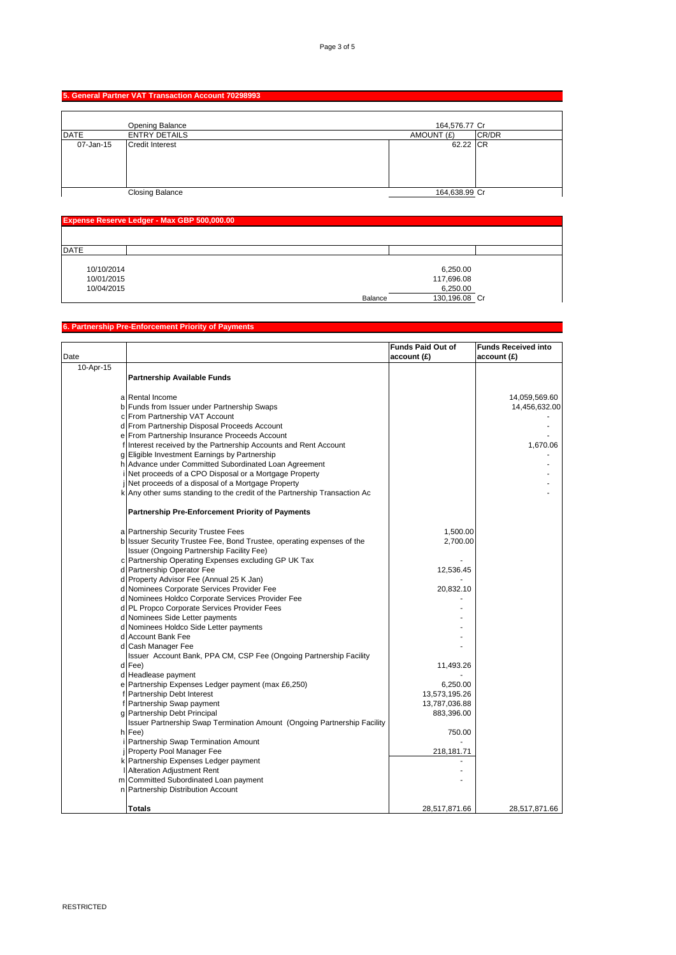## **5. General Partner VAT Transaction Account 70298993**

|             | Opening Balance        | 164,576.77 Cr |       |
|-------------|------------------------|---------------|-------|
| <b>DATE</b> | <b>ENTRY DETAILS</b>   | AMOUNT (£)    | CR/DR |
| 07-Jan-15   | <b>Credit Interest</b> | 62.22 CR      |       |
|             | <b>Closing Balance</b> | 164,638.99 Cr |       |

| <b>Expense Reserve Ledger - Max GBP 500,000.00</b> |                          |  |  |
|----------------------------------------------------|--------------------------|--|--|
|                                                    |                          |  |  |
| <b>DATE</b>                                        |                          |  |  |
|                                                    |                          |  |  |
| 10/10/2014                                         | 6,250.00                 |  |  |
| 10/01/2015                                         | 117,696.08               |  |  |
| 10/04/2015                                         | 6,250.00                 |  |  |
|                                                    | 130,196.08 Cr<br>Balance |  |  |

## **6. Partnership Pre-Enforcement Priority of Payments**

|           |                                                                           | Funds Paid Out of | <b>Funds Received into</b>     |
|-----------|---------------------------------------------------------------------------|-------------------|--------------------------------|
| Date      |                                                                           | account(E)        | account(E)                     |
| 10-Apr-15 |                                                                           |                   |                                |
|           | <b>Partnership Available Funds</b>                                        |                   |                                |
|           |                                                                           |                   |                                |
|           | a Rental Income                                                           |                   |                                |
|           | b Funds from Issuer under Partnership Swaps                               |                   | 14,059,569.60<br>14,456,632.00 |
|           | c From Partnership VAT Account                                            |                   |                                |
|           | d From Partnership Disposal Proceeds Account                              |                   |                                |
|           | e From Partnership Insurance Proceeds Account                             |                   |                                |
|           | f Interest received by the Partnership Accounts and Rent Account          |                   | 1,670.06                       |
|           | g Eligible Investment Earnings by Partnership                             |                   |                                |
|           | h Advance under Committed Subordinated Loan Agreement                     |                   |                                |
|           | i Net proceeds of a CPO Disposal or a Mortgage Property                   |                   |                                |
|           | i Net proceeds of a disposal of a Mortgage Property                       |                   |                                |
|           | k Any other sums standing to the credit of the Partnership Transaction Ac |                   |                                |
|           |                                                                           |                   |                                |
|           |                                                                           |                   |                                |
|           | <b>Partnership Pre-Enforcement Priority of Payments</b>                   |                   |                                |
|           |                                                                           |                   |                                |
|           | a Partnership Security Trustee Fees                                       | 1,500.00          |                                |
|           | b Issuer Security Trustee Fee, Bond Trustee, operating expenses of the    | 2,700.00          |                                |
|           | Issuer (Ongoing Partnership Facility Fee)                                 |                   |                                |
|           | c Partnership Operating Expenses excluding GP UK Tax                      |                   |                                |
|           | d Partnership Operator Fee                                                | 12,536.45         |                                |
|           | d Property Advisor Fee (Annual 25 K Jan)                                  |                   |                                |
|           | d Nominees Corporate Services Provider Fee                                | 20,832.10         |                                |
|           | d Nominees Holdco Corporate Services Provider Fee                         |                   |                                |
|           | d PL Propco Corporate Services Provider Fees                              |                   |                                |
|           | d Nominees Side Letter payments                                           |                   |                                |
|           | d Nominees Holdco Side Letter payments                                    |                   |                                |
|           | d Account Bank Fee                                                        |                   |                                |
|           | d Cash Manager Fee                                                        |                   |                                |
|           | Issuer Account Bank, PPA CM, CSP Fee (Ongoing Partnership Facility        |                   |                                |
|           | d Fee)                                                                    | 11,493.26         |                                |
|           | d Headlease payment                                                       |                   |                                |
|           | e Partnership Expenses Ledger payment (max £6,250)                        | 6,250.00          |                                |
|           | f Partnership Debt Interest                                               | 13,573,195.26     |                                |
|           | f Partnership Swap payment                                                | 13,787,036.88     |                                |
|           | g Partnership Debt Principal                                              | 883,396.00        |                                |
|           | Issuer Partnership Swap Termination Amount (Ongoing Partnership Facility  |                   |                                |
|           | h Fee)                                                                    | 750.00            |                                |
|           | i Partnership Swap Termination Amount                                     |                   |                                |
|           | j Property Pool Manager Fee                                               | 218, 181. 71      |                                |
|           | k Partnership Expenses Ledger payment                                     |                   |                                |
|           | I Alteration Adjustment Rent                                              |                   |                                |
|           | m Committed Subordinated Loan payment                                     |                   |                                |
|           | n Partnership Distribution Account                                        |                   |                                |
|           |                                                                           |                   |                                |
|           | Totals                                                                    | 28,517,871.66     | 28,517,871.66                  |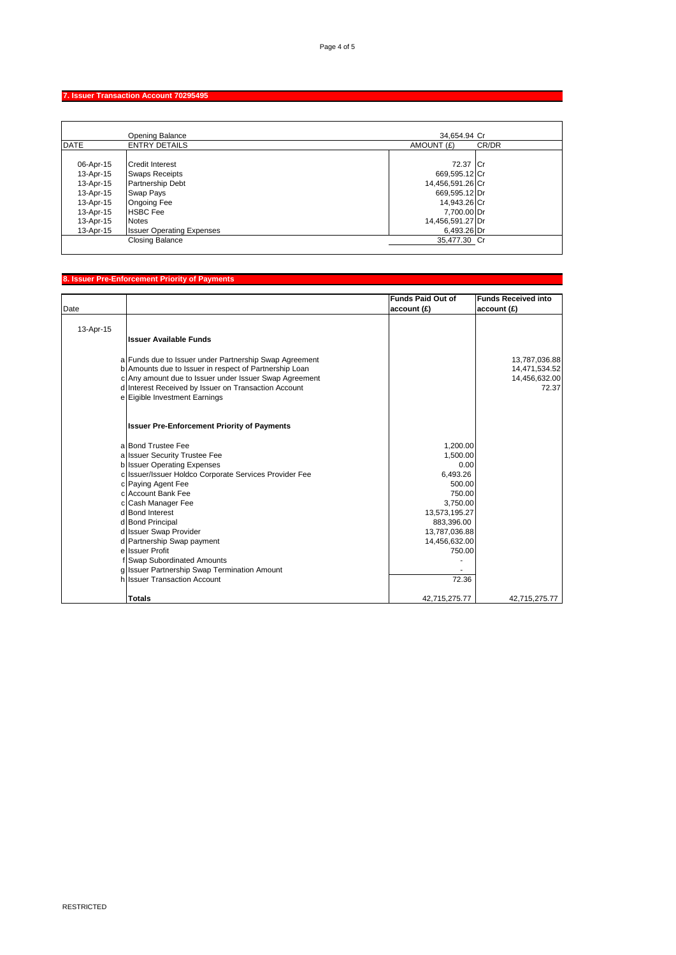## **7. Issuer Transaction Account 70295495**

|                                                                                                      | Opening Balance                                                                                                                                                                      | 34,654.94 Cr                                                                                                                     |
|------------------------------------------------------------------------------------------------------|--------------------------------------------------------------------------------------------------------------------------------------------------------------------------------------|----------------------------------------------------------------------------------------------------------------------------------|
| <b>DATE</b>                                                                                          | <b>ENTRY DETAILS</b>                                                                                                                                                                 | AMOUNT (£)<br>CR/DR                                                                                                              |
| 06-Apr-15<br>13-Apr-15<br>13-Apr-15<br>13-Apr-15<br>13-Apr-15<br>13-Apr-15<br>13-Apr-15<br>13-Apr-15 | <b>Credit Interest</b><br><b>Swaps Receipts</b><br><b>Partnership Debt</b><br>Swap Pays<br><b>Ongoing Fee</b><br><b>HSBC</b> Fee<br><b>Notes</b><br><b>Issuer Operating Expenses</b> | 72.37 Cr<br>669,595.12 Cr<br>14,456,591.26 Cr<br>669,595.12 Dr<br>14,943.26 Cr<br>7,700.00 Dr<br>14,456,591.27 Dr<br>6,493.26 Dr |
|                                                                                                      | <b>Closing Balance</b>                                                                                                                                                               | 35,477.30 Cr                                                                                                                     |

## **8. Issuer Pre-Enforcement Priority of Payments**

|           |                                                        | <b>Funds Paid Out of</b> | <b>Funds Received into</b> |
|-----------|--------------------------------------------------------|--------------------------|----------------------------|
| Date      |                                                        | account(E)               | account(E)                 |
|           |                                                        |                          |                            |
| 13-Apr-15 |                                                        |                          |                            |
|           | Ilssuer Available Funds                                |                          |                            |
|           | a Funds due to Issuer under Partnership Swap Agreement |                          | 13,787,036.88              |
|           | b Amounts due to Issuer in respect of Partnership Loan |                          | 14,471,534.52              |
|           | c Any amount due to Issuer under Issuer Swap Agreement |                          | 14,456,632.00              |
|           | d Interest Received by Issuer on Transaction Account   |                          | 72.37                      |
|           | e Eigible Investment Earnings                          |                          |                            |
|           | <b>Issuer Pre-Enforcement Priority of Payments</b>     |                          |                            |
|           | a Bond Trustee Fee                                     | 1,200.00                 |                            |
|           | a Issuer Security Trustee Fee                          | 1,500.00                 |                            |
|           | b Issuer Operating Expenses                            | 0.00                     |                            |
|           | c Issuer/Issuer Holdco Corporate Services Provider Fee | 6,493.26                 |                            |
|           | c Paying Agent Fee                                     | 500.00                   |                            |
|           | c Account Bank Fee                                     | 750.00                   |                            |
|           | c Cash Manager Fee                                     | 3,750.00                 |                            |
|           | d Bond Interest                                        | 13,573,195.27            |                            |
|           | d Bond Principal                                       | 883,396.00               |                            |
|           | d Issuer Swap Provider                                 | 13,787,036.88            |                            |
|           | d Partnership Swap payment<br>e Issuer Profit          | 14,456,632.00            |                            |
|           | f Swap Subordinated Amounts                            | 750.00                   |                            |
|           | g Issuer Partnership Swap Termination Amount           |                          |                            |
|           | h Issuer Transaction Account                           | 72.36                    |                            |
|           |                                                        |                          |                            |
|           | <b>Totals</b>                                          | 42,715,275.77            | 42.715.275.77              |